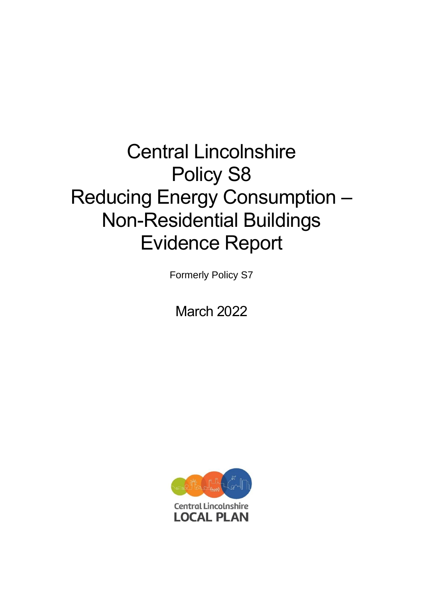# Central Lincolnshire Policy S8 Reducing Energy Consumption – Non-Residential Buildings Evidence Report

Formerly Policy S7

March 2022

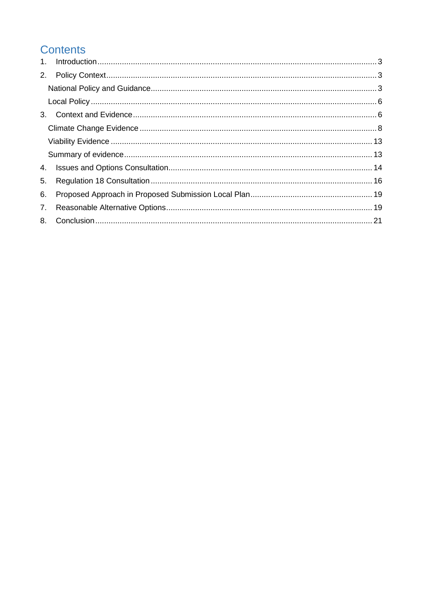# **Contents**

| 2. |  |  |  |  |
|----|--|--|--|--|
|    |  |  |  |  |
|    |  |  |  |  |
|    |  |  |  |  |
|    |  |  |  |  |
|    |  |  |  |  |
|    |  |  |  |  |
| 4. |  |  |  |  |
| 5. |  |  |  |  |
| 6. |  |  |  |  |
| 7. |  |  |  |  |
|    |  |  |  |  |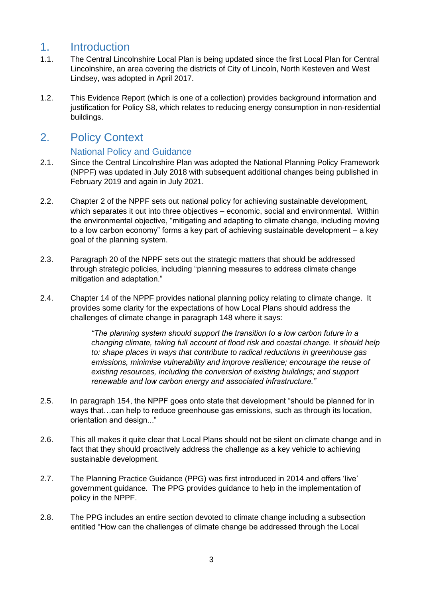## <span id="page-2-0"></span>1. Introduction

- 1.1. The Central Lincolnshire Local Plan is being updated since the first Local Plan for Central Lincolnshire, an area covering the districts of City of Lincoln, North Kesteven and West Lindsey, was adopted in April 2017.
- 1.2. This Evidence Report (which is one of a collection) provides background information and justification for Policy S8, which relates to reducing energy consumption in non-residential buildings.

### <span id="page-2-1"></span>2. Policy Context

#### National Policy and Guidance

- <span id="page-2-2"></span>2.1. Since the Central Lincolnshire Plan was adopted the National Planning Policy Framework (NPPF) was updated in July 2018 with subsequent additional changes being published in February 2019 and again in July 2021.
- 2.2. Chapter 2 of the NPPF sets out national policy for achieving sustainable development, which separates it out into three objectives – economic, social and environmental. Within the environmental objective, "mitigating and adapting to climate change, including moving to a low carbon economy" forms a key part of achieving sustainable development – a key goal of the planning system.
- 2.3. Paragraph 20 of the NPPF sets out the strategic matters that should be addressed through strategic policies, including "planning measures to address climate change mitigation and adaptation."
- 2.4. Chapter 14 of the NPPF provides national planning policy relating to climate change. It provides some clarity for the expectations of how Local Plans should address the challenges of climate change in paragraph 148 where it says:

*"The planning system should support the transition to a low carbon future in a changing climate, taking full account of flood risk and coastal change. It should help to: shape places in ways that contribute to radical reductions in greenhouse gas emissions, minimise vulnerability and improve resilience; encourage the reuse of existing resources, including the conversion of existing buildings; and support renewable and low carbon energy and associated infrastructure."* 

- 2.5. In paragraph 154, the NPPF goes onto state that development "should be planned for in ways that…can help to reduce greenhouse gas emissions, such as through its location, orientation and design..."
- 2.6. This all makes it quite clear that Local Plans should not be silent on climate change and in fact that they should proactively address the challenge as a key vehicle to achieving sustainable development.
- 2.7. The Planning Practice Guidance (PPG) was first introduced in 2014 and offers 'live' government guidance. The PPG provides guidance to help in the implementation of policy in the NPPF.
- 2.8. The PPG includes an entire section devoted to climate change including a subsection entitled "How can the challenges of climate change be addressed through the Local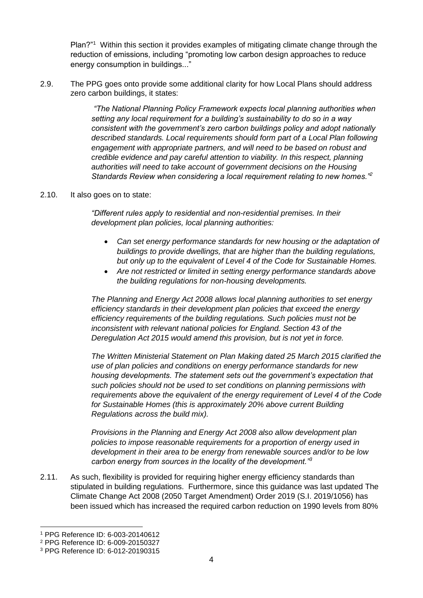Plan?"<sup>1</sup> Within this section it provides examples of mitigating climate change through the reduction of emissions, including "promoting low carbon design approaches to reduce energy consumption in buildings..."

2.9. The PPG goes onto provide some additional clarity for how Local Plans should address zero carbon buildings, it states:

> *"The National Planning Policy Framework expects local planning authorities when setting any local requirement for a building's sustainability to do so in a way consistent with the government's zero carbon buildings policy and adopt nationally described standards. Local requirements should form part of a Local Plan following engagement with appropriate partners, and will need to be based on robust and credible evidence and pay careful attention to viability. In this respect, planning authorities will need to take account of government decisions on the Housing Standards Review when considering a local requirement relating to new homes."<sup>2</sup>*

#### 2.10. It also goes on to state:

*"Different rules apply to residential and non-residential premises. In their development plan policies, local planning authorities:* 

- *Can set energy performance standards for new housing or the adaptation of buildings to provide dwellings, that are higher than the building regulations, but only up to the equivalent of Level 4 of the Code for Sustainable Homes.*
- *Are not restricted or limited in setting energy performance standards above the building regulations for non-housing developments.*

*The Planning and Energy Act 2008 allows local planning authorities to set energy efficiency standards in their development plan policies that exceed the energy efficiency requirements of the building regulations. Such policies must not be inconsistent with relevant national policies for England. Section 43 of the Deregulation Act 2015 would amend this provision, but is not yet in force.* 

*The Written Ministerial Statement on Plan Making dated 25 March 2015 clarified the use of plan policies and conditions on energy performance standards for new housing developments. The statement sets out the government's expectation that such policies should not be used to set conditions on planning permissions with requirements above the equivalent of the energy requirement of Level 4 of the Code for Sustainable Homes (this is approximately 20% above current Building Regulations across the build mix).* 

*Provisions in the Planning and Energy Act 2008 also allow development plan policies to impose reasonable requirements for a proportion of energy used in development in their area to be energy from renewable sources and/or to be low carbon energy from sources in the locality of the development."<sup>3</sup>*

2.11. As such, flexibility is provided for requiring higher energy efficiency standards than stipulated in building regulations. Furthermore, since this guidance was last updated The Climate Change Act 2008 (2050 Target Amendment) Order 2019 (S.I. 2019/1056) has been issued which has increased the required carbon reduction on 1990 levels from 80%

<sup>1</sup> PPG Reference ID: 6-003-20140612

<sup>2</sup> PPG Reference ID: 6-009-20150327

<sup>3</sup> PPG Reference ID: 6-012-20190315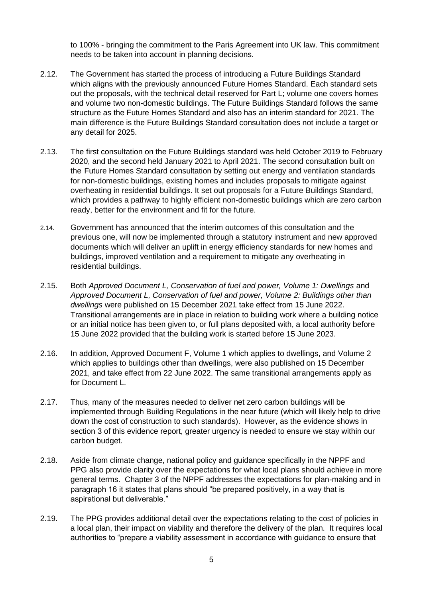to 100% - bringing the commitment to the Paris Agreement into UK law. This commitment needs to be taken into account in planning decisions.

- 2.12. The Government has started the process of introducing a Future Buildings Standard which aligns with the previously announced Future Homes Standard. Each standard sets out the proposals, with the technical detail reserved for Part L; volume one covers homes and volume two non-domestic buildings. The Future Buildings Standard follows the same structure as the Future Homes Standard and also has an interim standard for 2021. The main difference is the Future Buildings Standard consultation does not include a target or any detail for 2025.
- 2.13. The first consultation on the Future Buildings standard was held October 2019 to February 2020, and the second held January 2021 to April 2021. The second consultation built on the Future Homes Standard consultation by setting out energy and ventilation standards for non-domestic buildings, existing homes and includes proposals to mitigate against overheating in residential buildings. It set out proposals for a Future Buildings Standard, which provides a pathway to highly efficient non-domestic buildings which are zero carbon ready, better for the environment and fit for the future.
- 2.14. Government has announced that the interim outcomes of this consultation and the previous one, will now be implemented through a statutory instrument and new approved documents which will deliver an uplift in energy efficiency standards for new homes and buildings, improved ventilation and a requirement to mitigate any overheating in residential buildings.
- 2.15. Both *Approved Document L, Conservation of fuel and power, Volume 1: Dwellings* and *Approved Document L, Conservation of fuel and power, Volume 2: Buildings other than dwellings* were published on 15 December 2021 take effect from 15 June 2022. Transitional arrangements are in place in relation to building work where a building notice or an initial notice has been given to, or full plans deposited with, a local authority before 15 June 2022 provided that the building work is started before 15 June 2023.
- 2.16. In addition, Approved Document F, Volume 1 which applies to dwellings, and Volume 2 which applies to buildings other than dwellings, were also published on 15 December 2021, and take effect from 22 June 2022. The same transitional arrangements apply as for Document L.
- 2.17. Thus, many of the measures needed to deliver net zero carbon buildings will be implemented through Building Regulations in the near future (which will likely help to drive down the cost of construction to such standards). However, as the evidence shows in section 3 of this evidence report, greater urgency is needed to ensure we stay within our carbon budget.
- 2.18. Aside from climate change, national policy and guidance specifically in the NPPF and PPG also provide clarity over the expectations for what local plans should achieve in more general terms. Chapter 3 of the NPPF addresses the expectations for plan-making and in paragraph 16 it states that plans should "be prepared positively, in a way that is aspirational but deliverable."
- 2.19. The PPG provides additional detail over the expectations relating to the cost of policies in a local plan, their impact on viability and therefore the delivery of the plan. It requires local authorities to "prepare a viability assessment in accordance with guidance to ensure that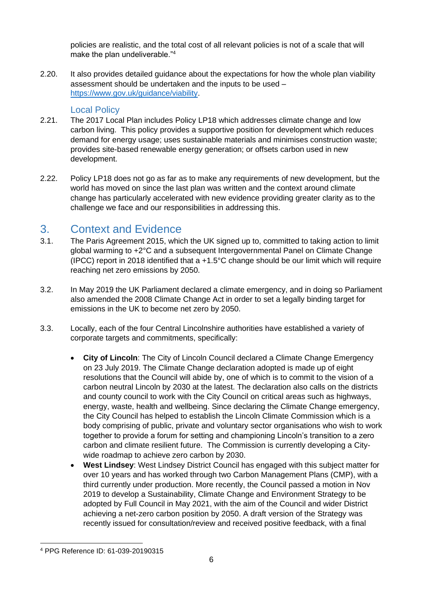policies are realistic, and the total cost of all relevant policies is not of a scale that will make the plan undeliverable."<sup>4</sup>

2.20. It also provides detailed guidance about the expectations for how the whole plan viability assessment should be undertaken and the inputs to be used – [https://www.gov.uk/guidance/viability.](https://www.gov.uk/guidance/viability)

#### Local Policy

- <span id="page-5-0"></span>2.21. The 2017 Local Plan includes Policy LP18 which addresses climate change and low carbon living. This policy provides a supportive position for development which reduces demand for energy usage; uses sustainable materials and minimises construction waste; provides site-based renewable energy generation; or offsets carbon used in new development.
- 2.22. Policy LP18 does not go as far as to make any requirements of new development, but the world has moved on since the last plan was written and the context around climate change has particularly accelerated with new evidence providing greater clarity as to the challenge we face and our responsibilities in addressing this.

## <span id="page-5-1"></span>3. Context and Evidence

- 3.1. The Paris Agreement 2015, which the UK signed up to, committed to taking action to limit global warming to +2°C and a subsequent Intergovernmental Panel on Climate Change (IPCC) report in 2018 identified that a  $+1.5^{\circ}$ C change should be our limit which will require reaching net zero emissions by 2050.
- 3.2. In May 2019 the UK Parliament declared a climate emergency, and in doing so Parliament also amended the 2008 Climate Change Act in order to set a legally binding target for emissions in the UK to become net zero by 2050.
- 3.3. Locally, each of the four Central Lincolnshire authorities have established a variety of corporate targets and commitments, specifically:
	- **City of Lincoln**: The City of Lincoln Council declared a Climate Change Emergency on 23 July 2019. The Climate Change declaration adopted is made up of eight resolutions that the Council will abide by, one of which is to commit to the vision of a carbon neutral Lincoln by 2030 at the latest. The declaration also calls on the districts and county council to work with the City Council on critical areas such as highways, energy, waste, health and wellbeing. Since declaring the Climate Change emergency, the City Council has helped to establish the Lincoln Climate Commission which is a body comprising of public, private and voluntary sector organisations who wish to work together to provide a forum for setting and championing Lincoln's transition to a zero carbon and climate resilient future. The Commission is currently developing a Citywide roadmap to achieve zero carbon by 2030.
	- **West Lindsey**: West Lindsey District Council has engaged with this subject matter for over 10 years and has worked through two Carbon Management Plans (CMP), with a third currently under production. More recently, the Council passed a motion in Nov 2019 to develop a Sustainability, Climate Change and Environment Strategy to be adopted by Full Council in May 2021, with the aim of the Council and wider District achieving a net-zero carbon position by 2050. A draft version of the Strategy was recently issued for consultation/review and received positive feedback, with a final

<sup>4</sup> PPG Reference ID: 61-039-20190315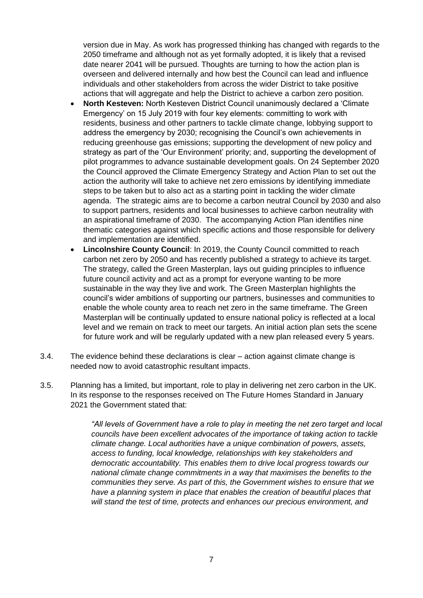version due in May. As work has progressed thinking has changed with regards to the 2050 timeframe and although not as yet formally adopted, it is likely that a revised date nearer 2041 will be pursued. Thoughts are turning to how the action plan is overseen and delivered internally and how best the Council can lead and influence individuals and other stakeholders from across the wider District to take positive actions that will aggregate and help the District to achieve a carbon zero position.

- **North Kesteven:** North Kesteven District Council unanimously declared a 'Climate Emergency' on 15 July 2019 with four key elements: committing to work with residents, business and other partners to tackle climate change, lobbying support to address the emergency by 2030; recognising the Council's own achievements in reducing greenhouse gas emissions; supporting the development of new policy and strategy as part of the 'Our Environment' priority; and, supporting the development of pilot programmes to advance sustainable development goals. On 24 September 2020 the Council approved the Climate Emergency Strategy and Action Plan to set out the action the authority will take to achieve net zero emissions by identifying immediate steps to be taken but to also act as a starting point in tackling the wider climate agenda. The strategic aims are to become a carbon neutral Council by 2030 and also to support partners, residents and local businesses to achieve carbon neutrality with an aspirational timeframe of 2030. The accompanying Action Plan identifies nine thematic categories against which specific actions and those responsible for delivery and implementation are identified.
- **Lincolnshire County Council**: In 2019, the County Council committed to reach carbon net zero by 2050 and has recently published a strategy to achieve its target. The strategy, called the Green Masterplan, lays out guiding principles to influence future council activity and act as a prompt for everyone wanting to be more sustainable in the way they live and work. The Green Masterplan highlights the council's wider ambitions of supporting our partners, businesses and communities to enable the whole county area to reach net zero in the same timeframe. The Green Masterplan will be continually updated to ensure national policy is reflected at a local level and we remain on track to meet our targets. An initial action plan sets the scene for future work and will be regularly updated with a new plan released every 5 years.
- 3.4. The evidence behind these declarations is clear action against climate change is needed now to avoid catastrophic resultant impacts.
- 3.5. Planning has a limited, but important, role to play in delivering net zero carbon in the UK. In its response to the responses received on The Future Homes Standard in January 2021 the Government stated that:

*"All levels of Government have a role to play in meeting the net zero target and local councils have been excellent advocates of the importance of taking action to tackle climate change. Local authorities have a unique combination of powers, assets, access to funding, local knowledge, relationships with key stakeholders and democratic accountability. This enables them to drive local progress towards our national climate change commitments in a way that maximises the benefits to the communities they serve. As part of this, the Government wishes to ensure that we*  have a planning system in place that enables the creation of beautiful places that *will stand the test of time, protects and enhances our precious environment, and*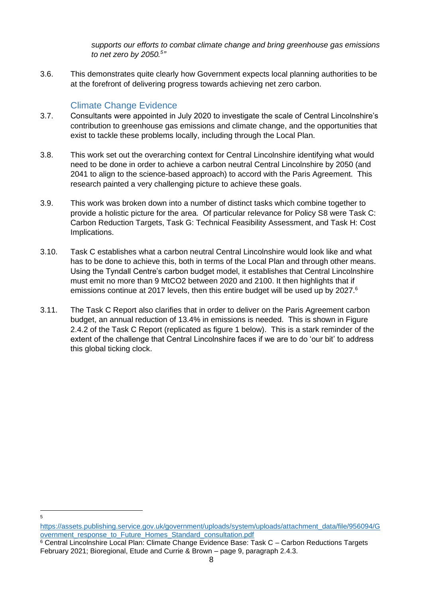*supports our efforts to combat climate change and bring greenhouse gas emissions to net zero by 2050.<sup>5</sup> "* 

3.6. This demonstrates quite clearly how Government expects local planning authorities to be at the forefront of delivering progress towards achieving net zero carbon.

#### Climate Change Evidence

5

- <span id="page-7-0"></span>3.7. Consultants were appointed in July 2020 to investigate the scale of Central Lincolnshire's contribution to greenhouse gas emissions and climate change, and the opportunities that exist to tackle these problems locally, including through the Local Plan.
- 3.8. This work set out the overarching context for Central Lincolnshire identifying what would need to be done in order to achieve a carbon neutral Central Lincolnshire by 2050 (and 2041 to align to the science-based approach) to accord with the Paris Agreement. This research painted a very challenging picture to achieve these goals.
- 3.9. This work was broken down into a number of distinct tasks which combine together to provide a holistic picture for the area. Of particular relevance for Policy S8 were Task C: Carbon Reduction Targets, Task G: Technical Feasibility Assessment, and Task H: Cost Implications.
- 3.10. Task C establishes what a carbon neutral Central Lincolnshire would look like and what has to be done to achieve this, both in terms of the Local Plan and through other means. Using the Tyndall Centre's carbon budget model, it establishes that Central Lincolnshire must emit no more than 9 MtCO2 between 2020 and 2100. It then highlights that if emissions continue at 2017 levels, then this entire budget will be used up by 2027.<sup>6</sup>
- 3.11. The Task C Report also clarifies that in order to deliver on the Paris Agreement carbon budget, an annual reduction of 13.4% in emissions is needed. This is shown in Figure 2.4.2 of the Task C Report (replicated as figure 1 below). This is a stark reminder of the extent of the challenge that Central Lincolnshire faces if we are to do 'our bit' to address this global ticking clock.

[https://assets.publishing.service.gov.uk/government/uploads/system/uploads/attachment\\_data/file/956094/G](https://assets.publishing.service.gov.uk/government/uploads/system/uploads/attachment_data/file/956094/Government_response_to_Future_Homes_Standard_consultation.pdf) [overnment\\_response\\_to\\_Future\\_Homes\\_Standard\\_consultation.pdf](https://assets.publishing.service.gov.uk/government/uploads/system/uploads/attachment_data/file/956094/Government_response_to_Future_Homes_Standard_consultation.pdf)

<sup>&</sup>lt;sup>6</sup> Central Lincolnshire Local Plan: Climate Change Evidence Base: Task C – Carbon Reductions Targets February 2021; Bioregional, Etude and Currie & Brown – page 9, paragraph 2.4.3.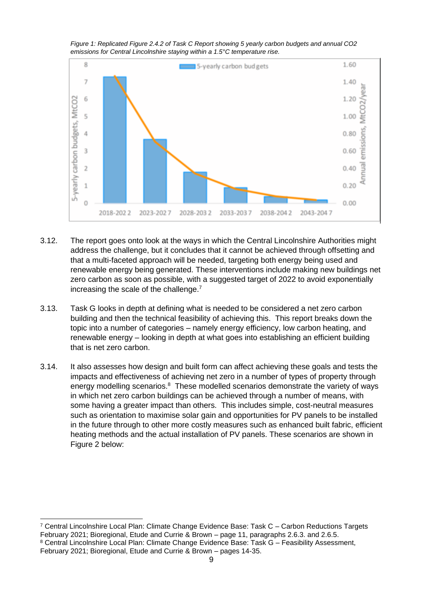*Figure 1: Replicated Figure 2.4.2 of Task C Report showing 5 yearly carbon budgets and annual CO2 emissions for Central Lincolnshire staying within a 1.5°C temperature rise.*



- 3.12. The report goes onto look at the ways in which the Central Lincolnshire Authorities might address the challenge, but it concludes that it cannot be achieved through offsetting and that a multi-faceted approach will be needed, targeting both energy being used and renewable energy being generated. These interventions include making new buildings net zero carbon as soon as possible, with a suggested target of 2022 to avoid exponentially increasing the scale of the challenge.<sup>7</sup>
- 3.13. Task G looks in depth at defining what is needed to be considered a net zero carbon building and then the technical feasibility of achieving this. This report breaks down the topic into a number of categories – namely energy efficiency, low carbon heating, and renewable energy – looking in depth at what goes into establishing an efficient building that is net zero carbon.
- 3.14. It also assesses how design and built form can affect achieving these goals and tests the impacts and effectiveness of achieving net zero in a number of types of property through energy modelling scenarios. $8$  These modelled scenarios demonstrate the variety of ways in which net zero carbon buildings can be achieved through a number of means, with some having a greater impact than others. This includes simple, cost-neutral measures such as orientation to maximise solar gain and opportunities for PV panels to be installed in the future through to other more costly measures such as enhanced built fabric, efficient heating methods and the actual installation of PV panels. These scenarios are shown in Figure 2 below:

<sup>7</sup> Central Lincolnshire Local Plan: Climate Change Evidence Base: Task C – Carbon Reductions Targets February 2021; Bioregional, Etude and Currie & Brown – page 11, paragraphs 2.6.3. and 2.6.5. <sup>8</sup> Central Lincolnshire Local Plan: Climate Change Evidence Base: Task G – Feasibility Assessment,

February 2021; Bioregional, Etude and Currie & Brown – pages 14-35.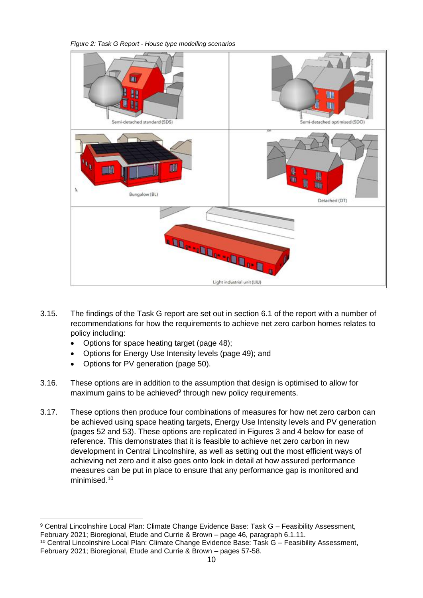*Figure 2: Task G Report - House type modelling scenarios*



- 3.15. The findings of the Task G report are set out in section 6.1 of the report with a number of recommendations for how the requirements to achieve net zero carbon homes relates to policy including:
	- Options for space heating target (page 48);
	- Options for Energy Use Intensity levels (page 49); and
	- Options for PV generation (page 50).
- 3.16. These options are in addition to the assumption that design is optimised to allow for maximum gains to be achieved<sup>9</sup> through new policy requirements.
- 3.17. These options then produce four combinations of measures for how net zero carbon can be achieved using space heating targets, Energy Use Intensity levels and PV generation (pages 52 and 53). These options are replicated in Figures 3 and 4 below for ease of reference. This demonstrates that it is feasible to achieve net zero carbon in new development in Central Lincolnshire, as well as setting out the most efficient ways of achieving net zero and it also goes onto look in detail at how assured performance measures can be put in place to ensure that any performance gap is monitored and minimised.<sup>10</sup>

<sup>9</sup> Central Lincolnshire Local Plan: Climate Change Evidence Base: Task G – Feasibility Assessment, February 2021; Bioregional, Etude and Currie & Brown – page 46, paragraph 6.1.11. <sup>10</sup> Central Lincolnshire Local Plan: Climate Change Evidence Base: Task G – Feasibility Assessment,

February 2021; Bioregional, Etude and Currie & Brown – pages 57-58.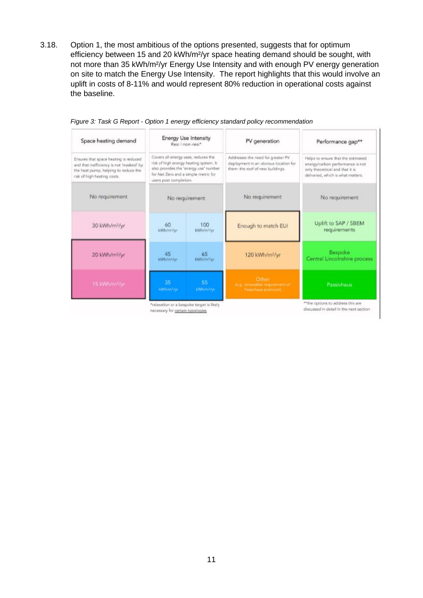3.18. Option 1, the most ambitious of the options presented, suggests that for optimum efficiency between 15 and 20 kWh/m²/yr space heating demand should be sought, with not more than 35 kWh/m²/yr Energy Use Intensity and with enough PV energy generation on site to match the Energy Use Intensity. The report highlights that this would involve an uplift in costs of 8-11% and would represent 80% reduction in operational costs against the baseline.

| <b>Energy Use Intensity</b><br>Resi I non-resi*                                                                                                                                                                                                                                                                                                      |                   | PV generation                                                                                                  | Performance gap**                                                                                                                              |
|------------------------------------------------------------------------------------------------------------------------------------------------------------------------------------------------------------------------------------------------------------------------------------------------------------------------------------------------------|-------------------|----------------------------------------------------------------------------------------------------------------|------------------------------------------------------------------------------------------------------------------------------------------------|
| Covers all energy uses, reduces the<br>Ensures that space heating is reduced<br>risk of high energy heating system. It<br>and that inefficiency is not 'masked' by<br>also provides the 'energy use' number<br>the heat pump, helping to reduce the<br>for Net Zero and a simple metric for<br>risk of high heating casts.<br>users post completion. |                   | Addresses the need for greater PV<br>deployment in an obvious location for<br>them: the roof of new buildings. | Helps to ensure that the estimated<br>energy/carbon performance is not<br>only theoretical and that it is<br>delivered, which is what matters. |
| No requirement                                                                                                                                                                                                                                                                                                                                       |                   | No requirement                                                                                                 | No requirement.                                                                                                                                |
| 60<br>kWh/m3/yr                                                                                                                                                                                                                                                                                                                                      | 100<br>kWh/m%/yr. | Enough to match EUI                                                                                            | Uplift to SAP / SBEM<br><i>requirements</i>                                                                                                    |
| 45<br>WWh/mWyr.                                                                                                                                                                                                                                                                                                                                      | 65<br>kWh/m//yr   | 120 kWh/m <sup>2</sup> /yr                                                                                     | Bespoke<br>Central Lincolnshire process-                                                                                                       |
| -35<br><b>WWh/mFAx</b>                                                                                                                                                                                                                                                                                                                               | 55<br>aWh/ml/yr   | Other<br>tog:/mnewable.requirement.of<br><b>Resolvitous promium)</b>                                           | Passivhaus                                                                                                                                     |
|                                                                                                                                                                                                                                                                                                                                                      |                   |                                                                                                                |                                                                                                                                                |

*Figure 3: Task G Report - Option 1 energy efficiency standard policy recommendation*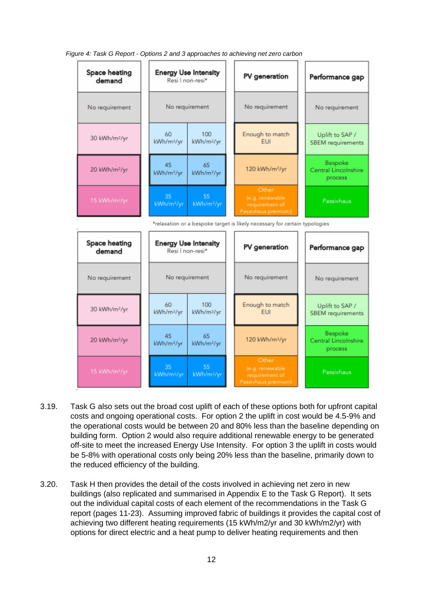Space heating **Enerav Use Intensity** PV generation Performance gap Resi I non-resi\* demand No requirement No requirement No requirement No requirement 60 100 Enough to match Uplift to SAP / 30 kWh/m2/vr kWh/m2/vr kWh/m<sup>2</sup>/vr EUI **SBEM** requirements Rospoko 45 65 20 kWh/m<sup>2</sup>/vr 120 kWh/m<sup>2</sup>/vr Central Lincolnshire kWh/m<sup>2</sup>/vr kWh/m<sup>2</sup>/yr process Passivhaus kWh/m<sup>2</sup>/vr kWh/m<sup>2</sup>/vr \*relaxation or a bespoke target is likely necessary for certain typologies Space heating **Energy Use Intensity** PV generation Performance gap demand Resi I non-resi\* No requirement No requirement No requirement No requirement Enough to match 60 100 Uplift to SAP / 30 kWh/m<sup>2</sup>/vr kWh/m<sup>2</sup>/vr kWh/m<sup>2</sup>/yr FUL **SBEM** requirements Bespoke 45 65 120 kWh/m2/vr 20 kWh/m<sup>2</sup>/yr Central Lincolnshire kWh/m<sup>2</sup>/vr kWh/m<sup>2</sup>/yr process Passivhaus kWh/m2/yr kWh/m<sup>2</sup>/yr

*Figure 4: Task G Report - Options 2 and 3 approaches to achieving net zero carbon*

- 3.19. Task G also sets out the broad cost uplift of each of these options both for upfront capital costs and ongoing operational costs. For option 2 the uplift in cost would be 4.5-9% and the operational costs would be between 20 and 80% less than the baseline depending on building form. Option 2 would also require additional renewable energy to be generated off-site to meet the increased Energy Use Intensity. For option 3 the uplift in costs would be 5-8% with operational costs only being 20% less than the baseline, primarily down to the reduced efficiency of the building.
- 3.20. Task H then provides the detail of the costs involved in achieving net zero in new buildings (also replicated and summarised in Appendix E to the Task G Report). It sets out the individual capital costs of each element of the recommendations in the Task G report (pages 11-23). Assuming improved fabric of buildings it provides the capital cost of achieving two different heating requirements (15 kWh/m2/yr and 30 kWh/m2/yr) with options for direct electric and a heat pump to deliver heating requirements and then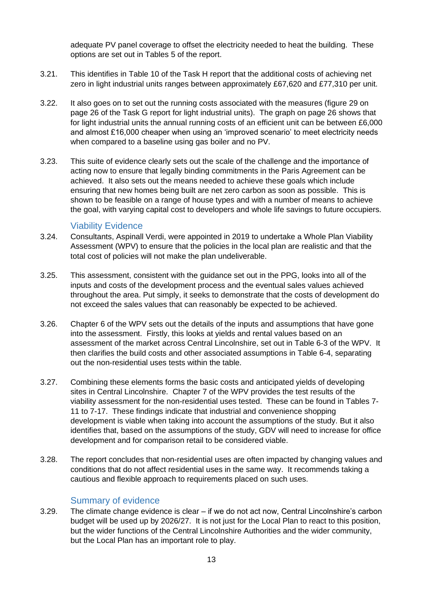adequate PV panel coverage to offset the electricity needed to heat the building. These options are set out in Tables 5 of the report.

- 3.21. This identifies in Table 10 of the Task H report that the additional costs of achieving net zero in light industrial units ranges between approximately £67,620 and £77,310 per unit.
- 3.22. It also goes on to set out the running costs associated with the measures (figure 29 on page 26 of the Task G report for light industrial units). The graph on page 26 shows that for light industrial units the annual running costs of an efficient unit can be between £6,000 and almost £16,000 cheaper when using an 'improved scenario' to meet electricity needs when compared to a baseline using gas boiler and no PV.
- 3.23. This suite of evidence clearly sets out the scale of the challenge and the importance of acting now to ensure that legally binding commitments in the Paris Agreement can be achieved. It also sets out the means needed to achieve these goals which include ensuring that new homes being built are net zero carbon as soon as possible. This is shown to be feasible on a range of house types and with a number of means to achieve the goal, with varying capital cost to developers and whole life savings to future occupiers.

#### Viability Evidence

- <span id="page-12-0"></span>3.24. Consultants, Aspinall Verdi, were appointed in 2019 to undertake a Whole Plan Viability Assessment (WPV) to ensure that the policies in the local plan are realistic and that the total cost of policies will not make the plan undeliverable.
- 3.25. This assessment, consistent with the guidance set out in the PPG, looks into all of the inputs and costs of the development process and the eventual sales values achieved throughout the area. Put simply, it seeks to demonstrate that the costs of development do not exceed the sales values that can reasonably be expected to be achieved.
- 3.26. Chapter 6 of the WPV sets out the details of the inputs and assumptions that have gone into the assessment. Firstly, this looks at yields and rental values based on an assessment of the market across Central Lincolnshire, set out in Table 6-3 of the WPV. It then clarifies the build costs and other associated assumptions in Table 6-4, separating out the non-residential uses tests within the table.
- 3.27. Combining these elements forms the basic costs and anticipated yields of developing sites in Central Lincolnshire. Chapter 7 of the WPV provides the test results of the viability assessment for the non-residential uses tested. These can be found in Tables 7- 11 to 7-17. These findings indicate that industrial and convenience shopping development is viable when taking into account the assumptions of the study. But it also identifies that, based on the assumptions of the study, GDV will need to increase for office development and for comparison retail to be considered viable.
- 3.28. The report concludes that non-residential uses are often impacted by changing values and conditions that do not affect residential uses in the same way. It recommends taking a cautious and flexible approach to requirements placed on such uses.

#### Summary of evidence

<span id="page-12-1"></span>3.29. The climate change evidence is clear – if we do not act now, Central Lincolnshire's carbon budget will be used up by 2026/27. It is not just for the Local Plan to react to this position, but the wider functions of the Central Lincolnshire Authorities and the wider community, but the Local Plan has an important role to play.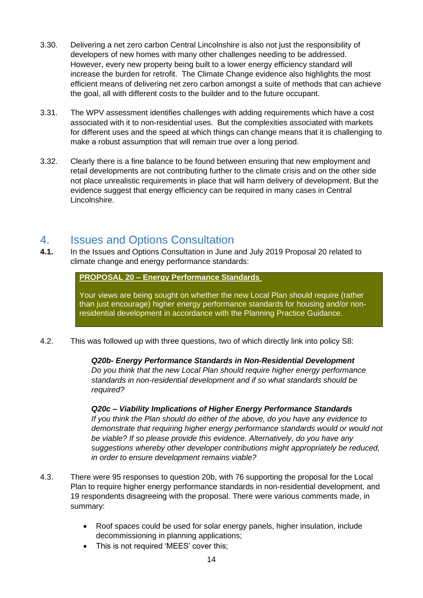- 3.30. Delivering a net zero carbon Central Lincolnshire is also not just the responsibility of developers of new homes with many other challenges needing to be addressed. However, every new property being built to a lower energy efficiency standard will increase the burden for retrofit. The Climate Change evidence also highlights the most efficient means of delivering net zero carbon amongst a suite of methods that can achieve the goal, all with different costs to the builder and to the future occupant.
- 3.31. The WPV assessment identifies challenges with adding requirements which have a cost associated with it to non-residential uses. But the complexities associated with markets for different uses and the speed at which things can change means that it is challenging to make a robust assumption that will remain true over a long period.
- 3.32. Clearly there is a fine balance to be found between ensuring that new employment and retail developments are not contributing further to the climate crisis and on the other side not place unrealistic requirements in place that will harm delivery of development. But the evidence suggest that energy efficiency can be required in many cases in Central Lincolnshire.

## <span id="page-13-0"></span>4. Issues and Options Consultation

**4.1.** In the Issues and Options Consultation in June and July 2019 Proposal 20 related to climate change and energy performance standards:

**PROPOSAL 20 – Energy Performance Standards**

Your views are being sought on whether the new Local Plan should require (rather than just encourage) higher energy performance standards for housing and/or nonresidential development in accordance with the Planning Practice Guidance.

4.2. This was followed up with three questions, two of which directly link into policy S8:

*Q20b- Energy Performance Standards in Non-Residential Development Do you think that the new Local Plan should require higher energy performance standards in non-residential development and if so what standards should be required?*

*Q20c – Viability Implications of Higher Energy Performance Standards If you think the Plan should do either of the above, do you have any evidence to demonstrate that requiring higher energy performance standards would or would not be viable? If so please provide this evidence. Alternatively, do you have any suggestions whereby other developer contributions might appropriately be reduced, in order to ensure development remains viable?*

- 4.3. There were 95 responses to question 20b, with 76 supporting the proposal for the Local Plan to require higher energy performance standards in non-residential development, and 19 respondents disagreeing with the proposal. There were various comments made, in summary:
	- Roof spaces could be used for solar energy panels, higher insulation, include decommissioning in planning applications;
	- This is not required 'MEES' cover this;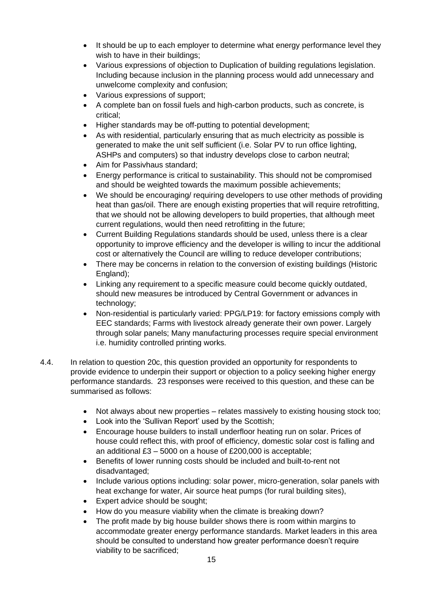- It should be up to each employer to determine what energy performance level they wish to have in their buildings;
- Various expressions of objection to Duplication of building regulations legislation. Including because inclusion in the planning process would add unnecessary and unwelcome complexity and confusion;
- Various expressions of support;
- A complete ban on fossil fuels and high-carbon products, such as concrete, is critical;
- Higher standards may be off-putting to potential development;
- As with residential, particularly ensuring that as much electricity as possible is generated to make the unit self sufficient (i.e. Solar PV to run office lighting, ASHPs and computers) so that industry develops close to carbon neutral;
- Aim for Passivhaus standard;
- Energy performance is critical to sustainability. This should not be compromised and should be weighted towards the maximum possible achievements;
- We should be encouraging/ requiring developers to use other methods of providing heat than gas/oil. There are enough existing properties that will require retrofitting, that we should not be allowing developers to build properties, that although meet current regulations, would then need retrofitting in the future;
- Current Building Regulations standards should be used, unless there is a clear opportunity to improve efficiency and the developer is willing to incur the additional cost or alternatively the Council are willing to reduce developer contributions;
- There may be concerns in relation to the conversion of existing buildings (Historic England);
- Linking any requirement to a specific measure could become quickly outdated, should new measures be introduced by Central Government or advances in technology;
- Non-residential is particularly varied: PPG/LP19: for factory emissions comply with EEC standards; Farms with livestock already generate their own power. Largely through solar panels; Many manufacturing processes require special environment i.e. humidity controlled printing works.
- 4.4. In relation to question 20c, this question provided an opportunity for respondents to provide evidence to underpin their support or objection to a policy seeking higher energy performance standards. 23 responses were received to this question, and these can be summarised as follows:
	- Not always about new properties relates massively to existing housing stock too;
	- Look into the 'Sullivan Report' used by the Scottish;
	- Encourage house builders to install underfloor heating run on solar. Prices of house could reflect this, with proof of efficiency, domestic solar cost is falling and an additional £3 – 5000 on a house of £200,000 is acceptable;
	- Benefits of lower running costs should be included and built-to-rent not disadvantaged;
	- Include various options including: solar power, micro-generation, solar panels with heat exchange for water, Air source heat pumps (for rural building sites),
	- Expert advice should be sought;
	- How do you measure viability when the climate is breaking down?
	- The profit made by big house builder shows there is room within margins to accommodate greater energy performance standards. Market leaders in this area should be consulted to understand how greater performance doesn't require viability to be sacrificed;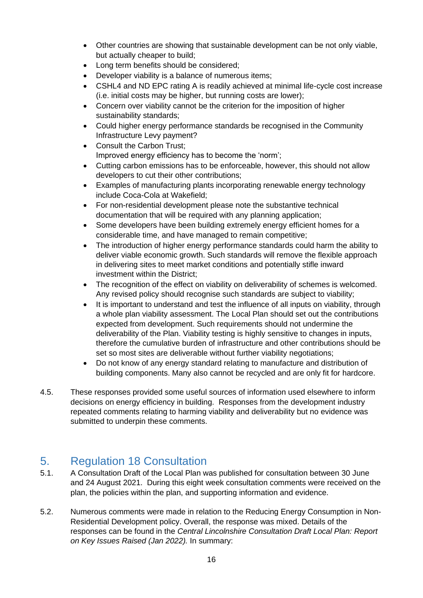- Other countries are showing that sustainable development can be not only viable, but actually cheaper to build;
- Long term benefits should be considered;
- Developer viability is a balance of numerous items;
- CSHL4 and ND EPC rating A is readily achieved at minimal life-cycle cost increase (i.e. initial costs may be higher, but running costs are lower);
- Concern over viability cannot be the criterion for the imposition of higher sustainability standards;
- Could higher energy performance standards be recognised in the Community Infrastructure Levy payment?
- Consult the Carbon Trust: Improved energy efficiency has to become the 'norm';
- Cutting carbon emissions has to be enforceable, however, this should not allow developers to cut their other contributions;
- Examples of manufacturing plants incorporating renewable energy technology include Coca-Cola at Wakefield;
- For non-residential development please note the substantive technical documentation that will be required with any planning application;
- Some developers have been building extremely energy efficient homes for a considerable time, and have managed to remain competitive;
- The introduction of higher energy performance standards could harm the ability to deliver viable economic growth. Such standards will remove the flexible approach in delivering sites to meet market conditions and potentially stifle inward investment within the District;
- The recognition of the effect on viability on deliverability of schemes is welcomed. Any revised policy should recognise such standards are subject to viability;
- It is important to understand and test the influence of all inputs on viability, through a whole plan viability assessment. The Local Plan should set out the contributions expected from development. Such requirements should not undermine the deliverability of the Plan. Viability testing is highly sensitive to changes in inputs, therefore the cumulative burden of infrastructure and other contributions should be set so most sites are deliverable without further viability negotiations;
- Do not know of any energy standard relating to manufacture and distribution of building components. Many also cannot be recycled and are only fit for hardcore.
- 4.5. These responses provided some useful sources of information used elsewhere to inform decisions on energy efficiency in building. Responses from the development industry repeated comments relating to harming viability and deliverability but no evidence was submitted to underpin these comments.

## <span id="page-15-0"></span>5. Regulation 18 Consultation

- 5.1. A Consultation Draft of the Local Plan was published for consultation between 30 June and 24 August 2021. During this eight week consultation comments were received on the plan, the policies within the plan, and supporting information and evidence.
- 5.2. Numerous comments were made in relation to the Reducing Energy Consumption in Non-Residential Development policy. Overall, the response was mixed. Details of the responses can be found in the *Central Lincolnshire Consultation Draft Local Plan: Report on Key Issues Raised (Jan 2022).* In summary: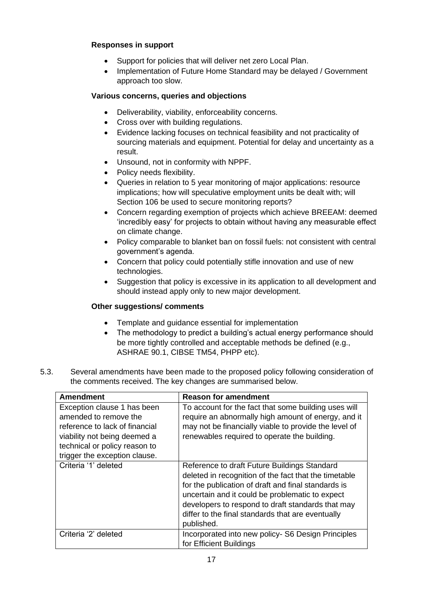#### **Responses in support**

- Support for policies that will deliver net zero Local Plan.
- Implementation of Future Home Standard may be delayed / Government approach too slow.

#### **Various concerns, queries and objections**

- Deliverability, viability, enforceability concerns.
- Cross over with building regulations.
- Evidence lacking focuses on technical feasibility and not practicality of sourcing materials and equipment. Potential for delay and uncertainty as a result.
- Unsound, not in conformity with NPPF.
- Policy needs flexibility.
- Queries in relation to 5 year monitoring of major applications: resource implications; how will speculative employment units be dealt with; will Section 106 be used to secure monitoring reports?
- Concern regarding exemption of projects which achieve BREEAM: deemed 'incredibly easy' for projects to obtain without having any measurable effect on climate change.
- Policy comparable to blanket ban on fossil fuels: not consistent with central government's agenda.
- Concern that policy could potentially stifle innovation and use of new technologies.
- Suggestion that policy is excessive in its application to all development and should instead apply only to new major development.

#### **Other suggestions/ comments**

- Template and guidance essential for implementation
- The methodology to predict a building's actual energy performance should be more tightly controlled and acceptable methods be defined (e.g., ASHRAE 90.1, CIBSE TM54, PHPP etc).
- 5.3. Several amendments have been made to the proposed policy following consideration of the comments received. The key changes are summarised below.

| <b>Amendment</b>                                                                                                                                                                         | <b>Reason for amendment</b>                                                                                                                                                                                                                                                                                                             |
|------------------------------------------------------------------------------------------------------------------------------------------------------------------------------------------|-----------------------------------------------------------------------------------------------------------------------------------------------------------------------------------------------------------------------------------------------------------------------------------------------------------------------------------------|
| Exception clause 1 has been<br>amended to remove the<br>reference to lack of financial<br>viability not being deemed a<br>technical or policy reason to<br>trigger the exception clause. | To account for the fact that some building uses will<br>require an abnormally high amount of energy, and it<br>may not be financially viable to provide the level of<br>renewables required to operate the building.                                                                                                                    |
| Criteria '1' deleted                                                                                                                                                                     | Reference to draft Future Buildings Standard<br>deleted in recognition of the fact that the timetable<br>for the publication of draft and final standards is<br>uncertain and it could be problematic to expect<br>developers to respond to draft standards that may<br>differ to the final standards that are eventually<br>published. |
| Criteria '2' deleted                                                                                                                                                                     | Incorporated into new policy- S6 Design Principles<br>for Efficient Buildings                                                                                                                                                                                                                                                           |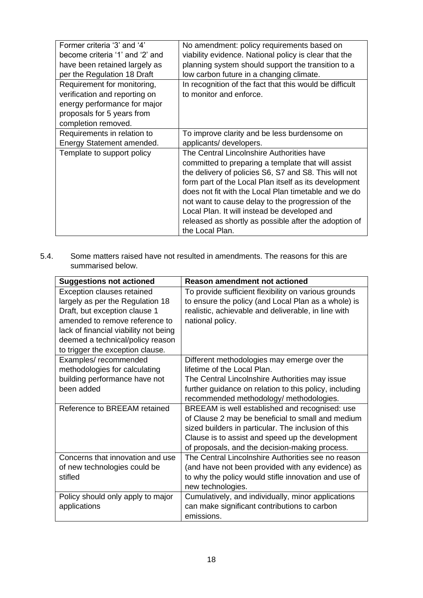| Former criteria '3' and '4'     | No amendment: policy requirements based on              |
|---------------------------------|---------------------------------------------------------|
| become criteria '1' and '2' and | viability evidence. National policy is clear that the   |
| have been retained largely as   | planning system should support the transition to a      |
| per the Regulation 18 Draft     | low carbon future in a changing climate.                |
| Requirement for monitoring,     | In recognition of the fact that this would be difficult |
| verification and reporting on   | to monitor and enforce.                                 |
| energy performance for major    |                                                         |
| proposals for 5 years from      |                                                         |
| completion removed.             |                                                         |
| Requirements in relation to     | To improve clarity and be less burdensome on            |
| Energy Statement amended.       | applicants/ developers.                                 |
| Template to support policy      | The Central Lincolnshire Authorities have               |
|                                 | committed to preparing a template that will assist      |
|                                 | the delivery of policies S6, S7 and S8. This will not   |
|                                 | form part of the Local Plan itself as its development   |
|                                 |                                                         |
|                                 | does not fit with the Local Plan timetable and we do    |
|                                 | not want to cause delay to the progression of the       |
|                                 | Local Plan. It will instead be developed and            |
|                                 | released as shortly as possible after the adoption of   |
|                                 | the Local Plan.                                         |
|                                 |                                                         |

5.4. Some matters raised have not resulted in amendments. The reasons for this are summarised below.

| <b>Suggestions not actioned</b>       | <b>Reason amendment not actioned</b>                   |
|---------------------------------------|--------------------------------------------------------|
| <b>Exception clauses retained</b>     | To provide sufficient flexibility on various grounds   |
| largely as per the Regulation 18      | to ensure the policy (and Local Plan as a whole) is    |
| Draft, but exception clause 1         | realistic, achievable and deliverable, in line with    |
| amended to remove reference to        | national policy.                                       |
| lack of financial viability not being |                                                        |
| deemed a technical/policy reason      |                                                        |
| to trigger the exception clause.      |                                                        |
| Examples/recommended                  | Different methodologies may emerge over the            |
| methodologies for calculating         | lifetime of the Local Plan.                            |
| building performance have not         | The Central Lincolnshire Authorities may issue         |
| been added                            | further guidance on relation to this policy, including |
|                                       | recommended methodology/ methodologies.                |
| Reference to BREEAM retained          | BREEAM is well established and recognised: use         |
|                                       | of Clause 2 may be beneficial to small and medium      |
|                                       | sized builders in particular. The inclusion of this    |
|                                       | Clause is to assist and speed up the development       |
|                                       | of proposals, and the decision-making process.         |
| Concerns that innovation and use      | The Central Lincolnshire Authorities see no reason     |
| of new technologies could be          | (and have not been provided with any evidence) as      |
| stifled                               | to why the policy would stifle innovation and use of   |
|                                       | new technologies.                                      |
| Policy should only apply to major     | Cumulatively, and individually, minor applications     |
| applications                          | can make significant contributions to carbon           |
|                                       | emissions.                                             |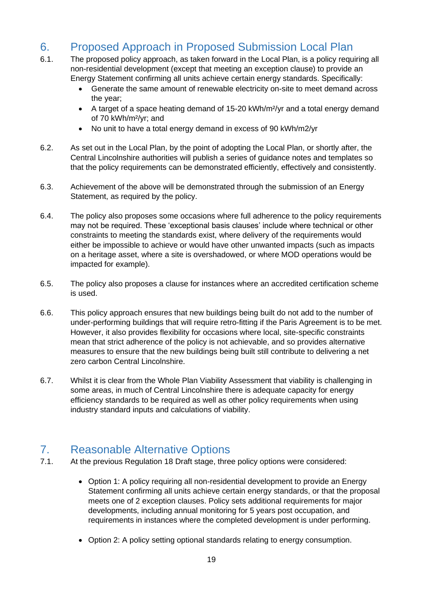## <span id="page-18-0"></span>6. Proposed Approach in Proposed Submission Local Plan

- 6.1. The proposed policy approach, as taken forward in the Local Plan, is a policy requiring all non-residential development (except that meeting an exception clause) to provide an Energy Statement confirming all units achieve certain energy standards. Specifically:
	- Generate the same amount of renewable electricity on-site to meet demand across the year;
	- A target of a space heating demand of 15-20 kWh/m<sup>2</sup>/yr and a total energy demand of 70 kWh/m²/yr; and
	- No unit to have a total energy demand in excess of 90 kWh/m2/yr
- 6.2. As set out in the Local Plan, by the point of adopting the Local Plan, or shortly after, the Central Lincolnshire authorities will publish a series of guidance notes and templates so that the policy requirements can be demonstrated efficiently, effectively and consistently.
- 6.3. Achievement of the above will be demonstrated through the submission of an Energy Statement, as required by the policy.
- 6.4. The policy also proposes some occasions where full adherence to the policy requirements may not be required. These 'exceptional basis clauses' include where technical or other constraints to meeting the standards exist, where delivery of the requirements would either be impossible to achieve or would have other unwanted impacts (such as impacts on a heritage asset, where a site is overshadowed, or where MOD operations would be impacted for example).
- 6.5. The policy also proposes a clause for instances where an accredited certification scheme is used.
- 6.6. This policy approach ensures that new buildings being built do not add to the number of under-performing buildings that will require retro-fitting if the Paris Agreement is to be met. However, it also provides flexibility for occasions where local, site-specific constraints mean that strict adherence of the policy is not achievable, and so provides alternative measures to ensure that the new buildings being built still contribute to delivering a net zero carbon Central Lincolnshire.
- 6.7. Whilst it is clear from the Whole Plan Viability Assessment that viability is challenging in some areas, in much of Central Lincolnshire there is adequate capacity for energy efficiency standards to be required as well as other policy requirements when using industry standard inputs and calculations of viability.

## <span id="page-18-1"></span>7. Reasonable Alternative Options

- 7.1. At the previous Regulation 18 Draft stage, three policy options were considered:
	- Option 1: A policy requiring all non-residential development to provide an Energy Statement confirming all units achieve certain energy standards, or that the proposal meets one of 2 exception clauses. Policy sets additional requirements for major developments, including annual monitoring for 5 years post occupation, and requirements in instances where the completed development is under performing.
	- Option 2: A policy setting optional standards relating to energy consumption.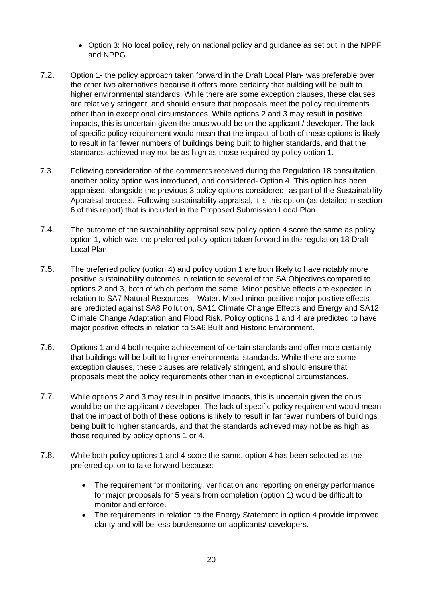- Option 3: No local policy, rely on national policy and guidance as set out in the NPPF and NPPG.
- 7.2. Option 1- the policy approach taken forward in the Draft Local Plan- was preferable over the other two alternatives because it offers more certainty that building will be built to higher environmental standards. While there are some exception clauses, these clauses are relatively stringent, and should ensure that proposals meet the policy requirements other than in exceptional circumstances. While options 2 and 3 may result in positive impacts, this is uncertain given the onus would be on the applicant / developer. The lack of specific policy requirement would mean that the impact of both of these options is likely to result in far fewer numbers of buildings being built to higher standards, and that the standards achieved may not be as high as those required by policy option 1.
- 7.3. Following consideration of the comments received during the Regulation 18 consultation, another policy option was introduced, and considered- Option 4. This option has been appraised, alongside the previous 3 policy options considered- as part of the Sustainability Appraisal process. Following sustainability appraisal, it is this option (as detailed in section 6 of this report) that is included in the Proposed Submission Local Plan.
- 7.4. The outcome of the sustainability appraisal saw policy option 4 score the same as policy option 1, which was the preferred policy option taken forward in the regulation 18 Draft Local Plan.
- 7.5. The preferred policy (option 4) and policy option 1 are both likely to have notably more positive sustainability outcomes in relation to several of the SA Objectives compared to options 2 and 3, both of which perform the same. Minor positive effects are expected in relation to SA7 Natural Resources – Water. Mixed minor positive major positive effects are predicted against SA8 Pollution, SA11 Climate Change Effects and Energy and SA12 Climate Change Adaptation and Flood Risk. Policy options 1 and 4 are predicted to have major positive effects in relation to SA6 Built and Historic Environment.
- 7.6. Options 1 and 4 both require achievement of certain standards and offer more certainty that buildings will be built to higher environmental standards. While there are some exception clauses, these clauses are relatively stringent, and should ensure that proposals meet the policy requirements other than in exceptional circumstances.
- 7.7. While options 2 and 3 may result in positive impacts, this is uncertain given the onus would be on the applicant / developer. The lack of specific policy requirement would mean that the impact of both of these options is likely to result in far fewer numbers of buildings being built to higher standards, and that the standards achieved may not be as high as those required by policy options 1 or 4.
- 7.8. While both policy options 1 and 4 score the same, option 4 has been selected as the preferred option to take forward because:
	- The requirement for monitoring, verification and reporting on energy performance for major proposals for 5 years from completion (option 1) would be difficult to monitor and enforce.
	- The requirements in relation to the Energy Statement in option 4 provide improved clarity and will be less burdensome on applicants/ developers.